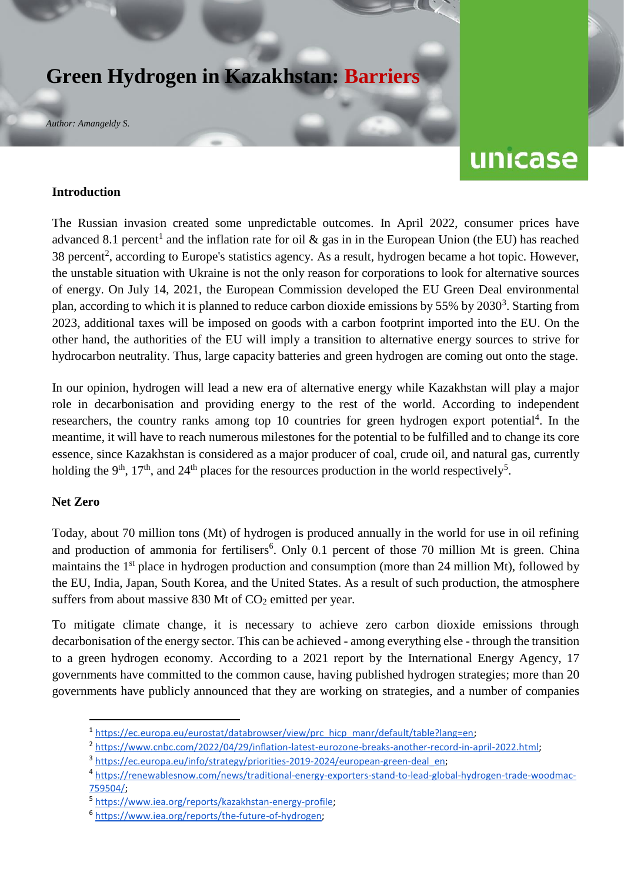# **Green Hydrogen in Kazakhstan: Barriers**

*Author: Amangeldy S.* 

# unicase

#### **Introduction**

The Russian invasion created some unpredictable outcomes. In April 2022, consumer prices have advanced 8.1 percent<sup>1</sup> and the inflation rate for oil  $\&$  gas in in the European Union (the EU) has reached 38 percent<sup>2</sup>, according to Europe's statistics agency. As a result, hydrogen became a hot topic. However, the unstable situation with Ukraine is not the only reason for corporations to look for alternative sources of energy. On July 14, 2021, the European Commission developed the EU Green Deal environmental plan, according to which it is planned to reduce carbon dioxide emissions by  $55\%$  by  $2030<sup>3</sup>$ . Starting from 2023, additional taxes will be imposed on goods with a carbon footprint imported into the EU. On the other hand, the authorities of the EU will imply a transition to alternative energy sources to strive for hydrocarbon neutrality. Thus, large capacity batteries and green hydrogen are coming out onto the stage.

In our opinion, hydrogen will lead a new era of alternative energy while Kazakhstan will play a major role in decarbonisation and providing energy to the rest of the world. According to independent researchers, the country ranks among top 10 countries for green hydrogen export potential<sup>4</sup>. In the meantime, it will have to reach numerous milestones for the potential to be fulfilled and to change its core essence, since Kazakhstan is considered as a major producer of coal, crude oil, and natural gas, currently holding the 9<sup>th</sup>, 17<sup>th</sup>, and 24<sup>th</sup> places for the resources production in the world respectively<sup>5</sup>.

#### **Net Zero**

**.** 

Today, about 70 million tons (Mt) of hydrogen is produced annually in the world for use in oil refining and production of ammonia for fertilisers<sup>6</sup>. Only 0.1 percent of those 70 million Mt is green. China maintains the 1<sup>st</sup> place in hydrogen production and consumption (more than 24 million Mt), followed by the EU, India, Japan, South Korea, and the United States. As a result of such production, the atmosphere suffers from about massive  $830$  Mt of  $CO<sub>2</sub>$  emitted per year.

To mitigate climate change, it is necessary to achieve zero carbon dioxide emissions through decarbonisation of the energy sector. This can be achieved - among everything else - through the transition to a green hydrogen economy. According to a 2021 report by the International Energy Agency, 17 governments have committed to the common cause, having published hydrogen strategies; more than 20 governments have publicly announced that they are working on strategies, and a number of companies

<sup>&</sup>lt;sup>1</sup> [https://ec.europa.eu/eurostat/databrowser/view/prc\\_hicp\\_manr/default/table?lang=en;](https://ec.europa.eu/eurostat/databrowser/view/prc_hicp_manr/default/table?lang=en)

<sup>&</sup>lt;sup>2</sup> [https://www.cnbc.com/2022/04/29/inflation-latest-eurozone-breaks-another-record-in-april-2022.html;](https://www.cnbc.com/2022/04/29/inflation-latest-eurozone-breaks-another-record-in-april-2022.html)

<sup>&</sup>lt;sup>3</sup> [https://ec.europa.eu/info/strategy/priorities-2019-2024/european-green-deal\\_en;](https://ec.europa.eu/info/strategy/priorities-2019-2024/european-green-deal_en)

<sup>4</sup> [https://renewablesnow.com/news/traditional-energy-exporters-stand-to-lead-global-hydrogen-trade-woodmac-](https://renewablesnow.com/news/traditional-energy-exporters-stand-to-lead-global-hydrogen-trade-woodmac-759504/)[759504/;](https://renewablesnow.com/news/traditional-energy-exporters-stand-to-lead-global-hydrogen-trade-woodmac-759504/)

<sup>5</sup> [https://www.iea.org/reports/kazakhstan-energy-profile;](https://www.iea.org/reports/kazakhstan-energy-profile)

<sup>6</sup> [https://www.iea.org/reports/the-future-of-hydrogen;](https://www.iea.org/reports/the-future-of-hydrogen)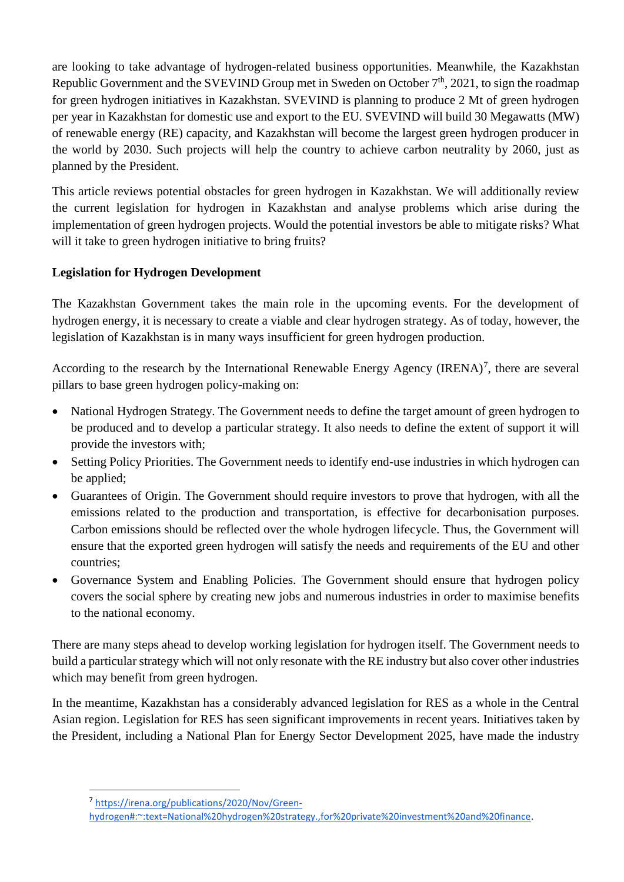are looking to take advantage of hydrogen-related business opportunities. Meanwhile, the Kazakhstan Republic Government and the SVEVIND Group met in Sweden on October  $7<sup>th</sup>$ , 2021, to sign the roadmap for green hydrogen initiatives in Kazakhstan. SVEVIND is planning to produce 2 Mt of green hydrogen per year in Kazakhstan for domestic use and export to the EU. SVEVIND will build 30 Megawatts (MW) of renewable energy (RE) capacity, and Kazakhstan will become the largest green hydrogen producer in the world by 2030. Such projects will help the country to achieve carbon neutrality by 2060, just as planned by the President.

This article reviews potential obstacles for green hydrogen in Kazakhstan. We will additionally review the current legislation for hydrogen in Kazakhstan and analyse problems which arise during the implementation of green hydrogen projects. Would the potential investors be able to mitigate risks? What will it take to green hydrogen initiative to bring fruits?

# **Legislation for Hydrogen Development**

The Kazakhstan Government takes the main role in the upcoming events. For the development of hydrogen energy, it is necessary to create a viable and clear hydrogen strategy. As of today, however, the legislation of Kazakhstan is in many ways insufficient for green hydrogen production.

According to the research by the International Renewable Energy Agency  $(IRENA)^7$ , there are several pillars to base green hydrogen policy-making on:

- National Hydrogen Strategy. The Government needs to define the target amount of green hydrogen to be produced and to develop a particular strategy. It also needs to define the extent of support it will provide the investors with;
- Setting Policy Priorities. The Government needs to identify end-use industries in which hydrogen can be applied:
- Guarantees of Origin. The Government should require investors to prove that hydrogen, with all the emissions related to the production and transportation, is effective for decarbonisation purposes. Carbon emissions should be reflected over the whole hydrogen lifecycle. Thus, the Government will ensure that the exported green hydrogen will satisfy the needs and requirements of the EU and other countries;
- Governance System and Enabling Policies. The Government should ensure that hydrogen policy covers the social sphere by creating new jobs and numerous industries in order to maximise benefits to the national economy.

There are many steps ahead to develop working legislation for hydrogen itself. The Government needs to build a particular strategy which will not only resonate with the RE industry but also cover other industries which may benefit from green hydrogen.

In the meantime, Kazakhstan has a considerably advanced legislation for RES as a whole in the Central Asian region. Legislation for RES has seen significant improvements in recent years. Initiatives taken by the President, including a National Plan for Energy Sector Development 2025, have made the industry

**.** 

<sup>7</sup> [https://irena.org/publications/2020/Nov/Green-](https://irena.org/publications/2020/Nov/Green-hydrogen#:~:text=National%20hydrogen%20strategy.,for%20private%20investment%20and%20finance)

[hydrogen#:~:text=National%20hydrogen%20strategy.,for%20private%20investment%20and%20finance.](https://irena.org/publications/2020/Nov/Green-hydrogen#:~:text=National%20hydrogen%20strategy.,for%20private%20investment%20and%20finance)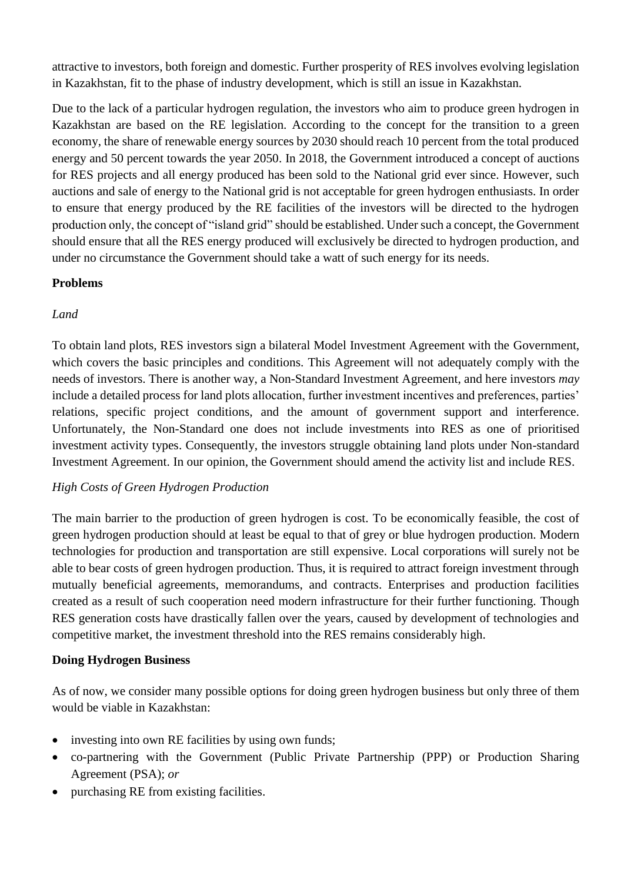attractive to investors, both foreign and domestic. Further prosperity of RES involves evolving legislation in Kazakhstan, fit to the phase of industry development, which is still an issue in Kazakhstan.

Due to the lack of a particular hydrogen regulation, the investors who aim to produce green hydrogen in Kazakhstan are based on the RE legislation. According to the concept for the transition to a green economy, the share of renewable energy sources by 2030 should reach 10 percent from the total produced energy and 50 percent towards the year 2050. In 2018, the Government introduced a concept of auctions for RES projects and all energy produced has been sold to the National grid ever since. However, such auctions and sale of energy to the National grid is not acceptable for green hydrogen enthusiasts. In order to ensure that energy produced by the RE facilities of the investors will be directed to the hydrogen production only, the concept of "island grid" should be established. Under such a concept, the Government should ensure that all the RES energy produced will exclusively be directed to hydrogen production, and under no circumstance the Government should take a watt of such energy for its needs.

### **Problems**

# *Land*

To obtain land plots, RES investors sign a bilateral Model Investment Agreement with the Government, which covers the basic principles and conditions. This Agreement will not adequately comply with the needs of investors. There is another way, a Non-Standard Investment Agreement, and here investors *may* include a detailed process for land plots allocation, further investment incentives and preferences, parties' relations, specific project conditions, and the amount of government support and interference. Unfortunately, the Non-Standard one does not include investments into RES as one of prioritised investment activity types. Consequently, the investors struggle obtaining land plots under Non-standard Investment Agreement. In our opinion, the Government should amend the activity list and include RES.

#### *High Costs of Green Hydrogen Production*

The main barrier to the production of green hydrogen is cost. To be economically feasible, the cost of green hydrogen production should at least be equal to that of grey or blue hydrogen production. Modern technologies for production and transportation are still expensive. Local corporations will surely not be able to bear costs of green hydrogen production. Thus, it is required to attract foreign investment through mutually beneficial agreements, memorandums, and contracts. Enterprises and production facilities created as a result of such cooperation need modern infrastructure for their further functioning. Though RES generation costs have drastically fallen over the years, caused by development of technologies and competitive market, the investment threshold into the RES remains considerably high.

#### **Doing Hydrogen Business**

As of now, we consider many possible options for doing green hydrogen business but only three of them would be viable in Kazakhstan:

- investing into own RE facilities by using own funds;
- co-partnering with the Government (Public Private Partnership (PPP) or Production Sharing Agreement (PSA); *or*
- purchasing RE from existing facilities.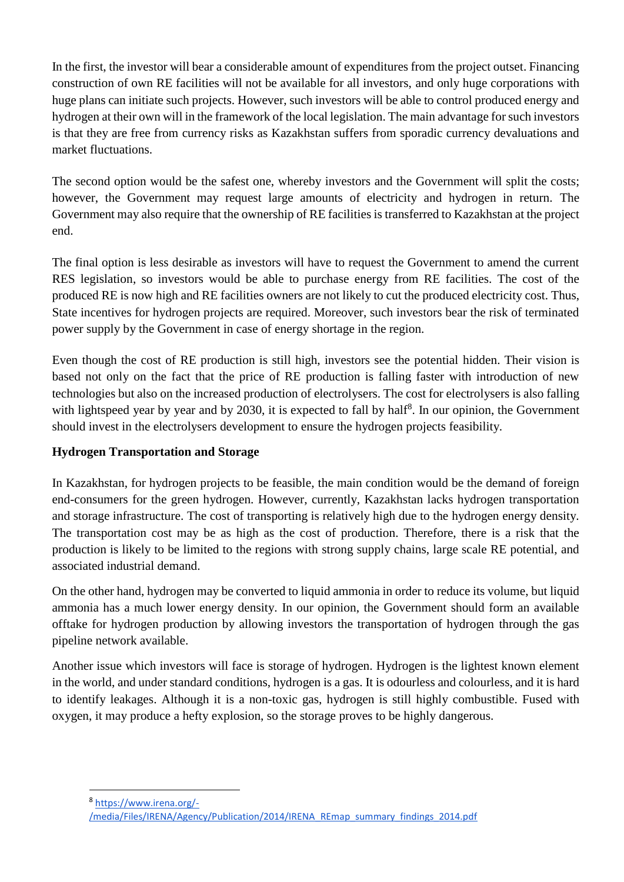In the first, the investor will bear a considerable amount of expenditures from the project outset. Financing construction of own RE facilities will not be available for all investors, and only huge corporations with huge plans can initiate such projects. However, such investors will be able to control produced energy and hydrogen at their own will in the framework of the local legislation. The main advantage for such investors is that they are free from currency risks as Kazakhstan suffers from sporadic currency devaluations and market fluctuations.

The second option would be the safest one, whereby investors and the Government will split the costs; however, the Government may request large amounts of electricity and hydrogen in return. The Government may also require that the ownership of RE facilities is transferred to Kazakhstan at the project end.

The final option is less desirable as investors will have to request the Government to amend the current RES legislation, so investors would be able to purchase energy from RE facilities. The cost of the produced RE is now high and RE facilities owners are not likely to cut the produced electricity cost. Thus, State incentives for hydrogen projects are required. Moreover, such investors bear the risk of terminated power supply by the Government in case of energy shortage in the region.

Even though the cost of RE production is still high, investors see the potential hidden. Their vision is based not only on the fact that the price of RE production is falling faster with introduction of new technologies but also on the increased production of electrolysers. The cost for electrolysers is also falling with lightspeed year by year and by 2030, it is expected to fall by half<sup>8</sup>. In our opinion, the Government should invest in the electrolysers development to ensure the hydrogen projects feasibility.

# **Hydrogen Transportation and Storage**

In Kazakhstan, for hydrogen projects to be feasible, the main condition would be the demand of foreign end-consumers for the green hydrogen. However, currently, Kazakhstan lacks hydrogen transportation and storage infrastructure. The cost of transporting is relatively high due to the hydrogen energy density. The transportation cost may be as high as the cost of production. Therefore, there is a risk that the production is likely to be limited to the regions with strong supply chains, large scale RE potential, and associated industrial demand.

On the other hand, hydrogen may be converted to liquid ammonia in order to reduce its volume, but liquid ammonia has a much lower energy density. In our opinion, the Government should form an available offtake for hydrogen production by allowing investors the transportation of hydrogen through the gas pipeline network available.

Another issue which investors will face is storage of hydrogen. Hydrogen is the lightest known element in the world, and under standard conditions, hydrogen is a gas. It is odourless and colourless, and it is hard to identify leakages. Although it is a non-toxic gas, hydrogen is still highly combustible. Fused with oxygen, it may produce a hefty explosion, so the storage proves to be highly dangerous.

**.** 

<sup>8</sup> [https://www.irena.org/-](https://www.irena.org/-/media/Files/IRENA/Agency/Publication/2014/IRENA_REmap_summary_findings_2014.pdf)

[<sup>/</sup>media/Files/IRENA/Agency/Publication/2014/IRENA\\_REmap\\_summary\\_findings\\_2014.pdf](https://www.irena.org/-/media/Files/IRENA/Agency/Publication/2014/IRENA_REmap_summary_findings_2014.pdf)